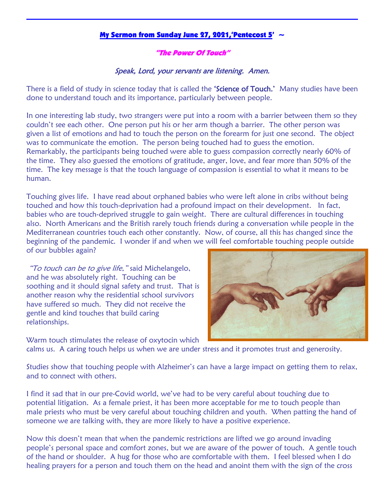## My Sermon from Sunday June 27, 2021, 'Pentecost 5'  $\sim$

## "The Power Of Touch"

## Speak, Lord, your servants are listening. Amen.

There is a field of study in science today that is called the **'Science of Touch.'** Many studies have been done to understand touch and its importance, particularly between people.

In one interesting lab study, two strangers were put into a room with a barrier between them so they couldn't see each other. One person put his or her arm though a barrier. The other person was given a list of emotions and had to touch the person on the forearm for just one second. The object was to communicate the emotion. The person being touched had to guess the emotion. Remarkably, the participants being touched were able to guess compassion correctly nearly 60% of the time. They also guessed the emotions of gratitude, anger, love, and fear more than 50% of the time. The key message is that the touch language of compassion is essential to what it means to be human.

Touching gives life. I have read about orphaned babies who were left alone in cribs without being touched and how this touch-deprivation had a profound impact on their development. In fact, babies who are touch-deprived struggle to gain weight. There are cultural differences in touching also. North Americans and the British rarely touch friends during a conversation while people in the Mediterranean countries touch each other constantly. Now, of course, all this has changed since the beginning of the pandemic. I wonder if and when we will feel comfortable touching people outside of our bubbles again?

"To touch can be to give life," said Michelangelo, and he was absolutely right. Touching can be soothing and it should signal safety and trust. That is another reason why the residential school survivors have suffered so much. They did not receive the gentle and kind touches that build caring relationships.

Warm touch stimulates the release of oxytocin which

calms us. A caring touch helps us when we are under stress and it promotes trust and generosity.

Studies show that touching people with Alzheimer's can have a large impact on getting them to relax, and to connect with others.

I find it sad that in our pre-Covid world, we've had to be very careful about touching due to potential litigation. As a female priest, it has been more acceptable for me to touch people than male priests who must be very careful about touching children and youth. When patting the hand of someone we are talking with, they are more likely to have a positive experience.

Now this doesn't mean that when the pandemic restrictions are lifted we go around invading people's personal space and comfort zones, but we are aware of the power of touch. A gentle touch of the hand or shoulder. A hug for those who are comfortable with them. I feel blessed when I do healing prayers for a person and touch them on the head and anoint them with the sign of the cross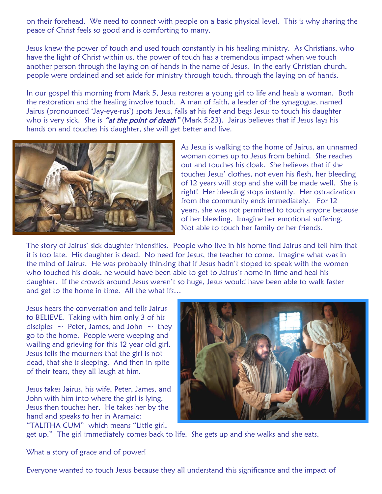on their forehead. We need to connect with people on a basic physical level. This is why sharing the peace of Christ feels so good and is comforting to many.

Jesus knew the power of touch and used touch constantly in his healing ministry. As Christians, who have the light of Christ within us, the power of touch has a tremendous impact when we touch another person through the laying on of hands in the name of Jesus. In the early Christian church, people were ordained and set aside for ministry through touch, through the laying on of hands.

In our gospel this morning from Mark 5, Jesus restores a young girl to life and heals a woman. Both the restoration and the healing involve touch. A man of faith, a leader of the synagogue, named Jairus (pronounced 'Jay-eye-rus') spots Jesus, falls at his feet and begs Jesus to touch his daughter who is very sick. She is "at the point of death" (Mark 5:23). Jairus believes that if Jesus lays his hands on and touches his daughter, she will get better and live.



As Jesus is walking to the home of Jairus, an unnamed woman comes up to Jesus from behind. She reaches out and touches his cloak. She believes that if she touches Jesus' clothes, not even his flesh, her bleeding of 12 years will stop and she will be made well. She is right! Her bleeding stops instantly. Her ostracization from the community ends immediately. For 12 years, she was not permitted to touch anyone because of her bleeding. Imagine her emotional suffering. Not able to touch her family or her friends.

The story of Jairus' sick daughter intensifies. People who live in his home find Jairus and tell him that it is too late. His daughter is dead. No need for Jesus, the teacher to come. Imagine what was in the mind of Jairus. He was probably thinking that if Jesus hadn't stoped to speak with the women who touched his cloak, he would have been able to get to Jairus's home in time and heal his daughter. If the crowds around Jesus weren't so huge, Jesus would have been able to walk faster and get to the home in time. All the what ifs…

Jesus hears the conversation and tells Jairus to BELIEVE. Taking with him only 3 of his disciples  $\sim$  Peter, James, and John  $\sim$  they go to the home. People were weeping and wailing and grieving for this 12 year old girl. Jesus tells the mourners that the girl is not dead, that she is sleeping. And then in spite of their tears, they all laugh at him.

Jesus takes Jairus, his wife, Peter, James, and John with him into where the girl is lying. Jesus then touches her. He takes her by the hand and speaks to her in Aramaic: "TALITHA CUM" which means "Little girl,



get up." The girl immediately comes back to life. She gets up and she walks and she eats.

What a story of grace and of power!

Everyone wanted to touch Jesus because they all understand this significance and the impact of